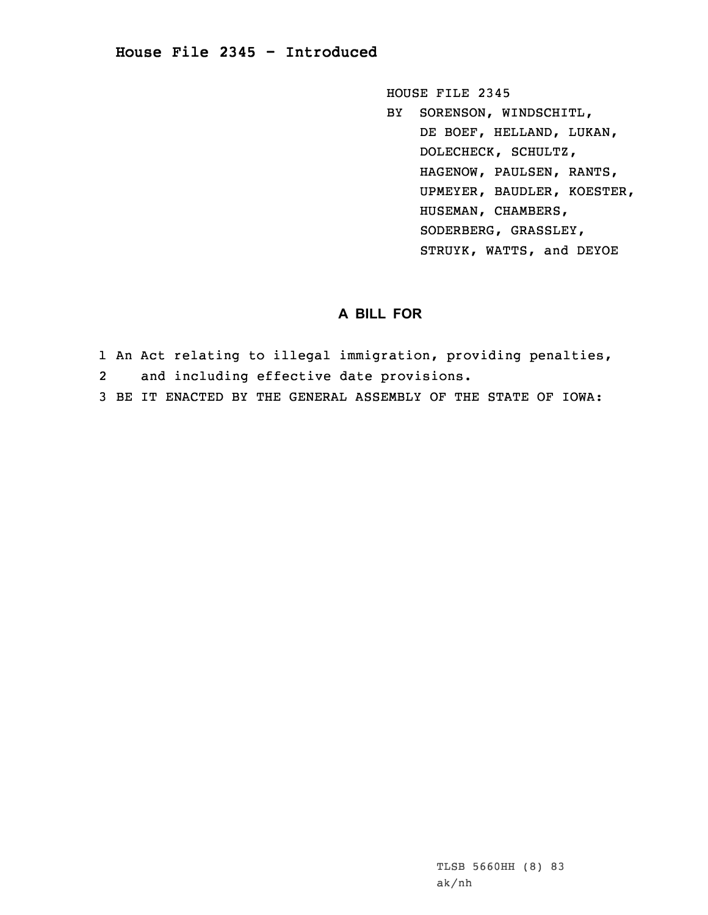HOUSE FILE 2345

BY SORENSON, WINDSCHITL, DE BOEF, HELLAND, LUKAN, DOLECHECK, SCHULTZ, HAGENOW, PAULSEN, RANTS, UPMEYER, BAUDLER, KOESTER, HUSEMAN, CHAMBERS, SODERBERG, GRASSLEY, STRUYK, WATTS, and DEYOE

## **A BILL FOR**

- 1 An Act relating to illegal immigration, providing penalties,
- 2and including effective date provisions.
- 3 BE IT ENACTED BY THE GENERAL ASSEMBLY OF THE STATE OF IOWA: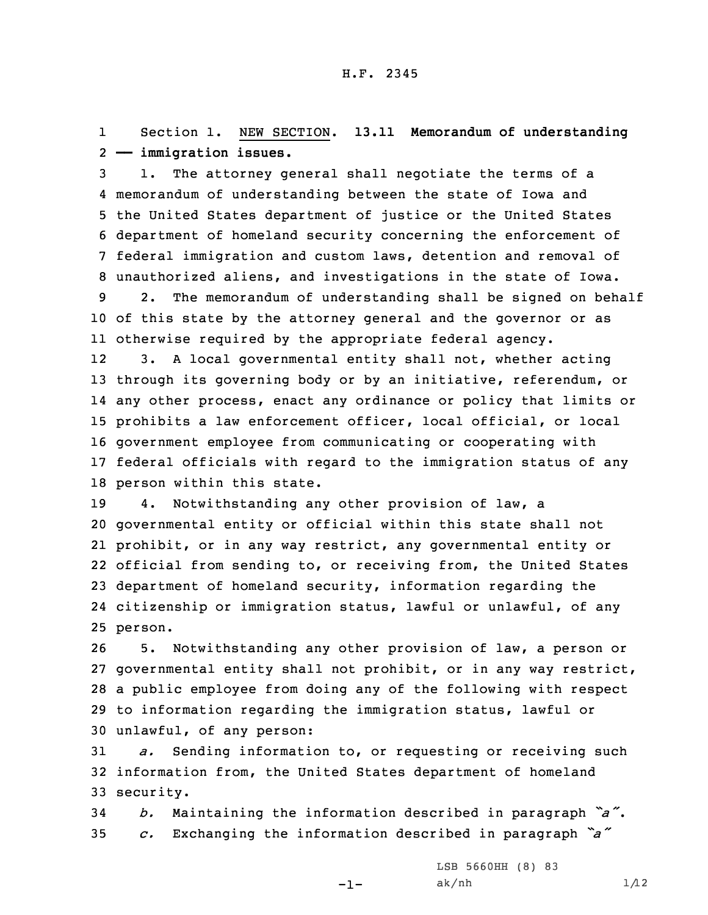1 Section 1. NEW SECTION. **13.11 Memorandum of understanding** 2 **—— immigration issues.**

 1. The attorney general shall negotiate the terms of <sup>a</sup> memorandum of understanding between the state of Iowa and the United States department of justice or the United States department of homeland security concerning the enforcement of federal immigration and custom laws, detention and removal of unauthorized aliens, and investigations in the state of Iowa. 2. The memorandum of understanding shall be signed on behalf

10 of this state by the attorney general and the governor or as 11 otherwise required by the appropriate federal agency.

12 3. <sup>A</sup> local governmental entity shall not, whether acting through its governing body or by an initiative, referendum, or any other process, enact any ordinance or policy that limits or prohibits <sup>a</sup> law enforcement officer, local official, or local government employee from communicating or cooperating with federal officials with regard to the immigration status of any person within this state.

 4. Notwithstanding any other provision of law, <sup>a</sup> governmental entity or official within this state shall not prohibit, or in any way restrict, any governmental entity or official from sending to, or receiving from, the United States department of homeland security, information regarding the citizenship or immigration status, lawful or unlawful, of any 25 person.

 5. Notwithstanding any other provision of law, <sup>a</sup> person or governmental entity shall not prohibit, or in any way restrict, <sup>a</sup> public employee from doing any of the following with respect to information regarding the immigration status, lawful or unlawful, of any person:

31 *a.* Sending information to, or requesting or receiving such 32 information from, the United States department of homeland 33 security.

<sup>34</sup> *b.* Maintaining the information described in paragraph *"a"*. <sup>35</sup> *c.* Exchanging the information described in paragraph *"a"*

-1-

LSB 5660HH (8) 83 ak/nh  $1/12$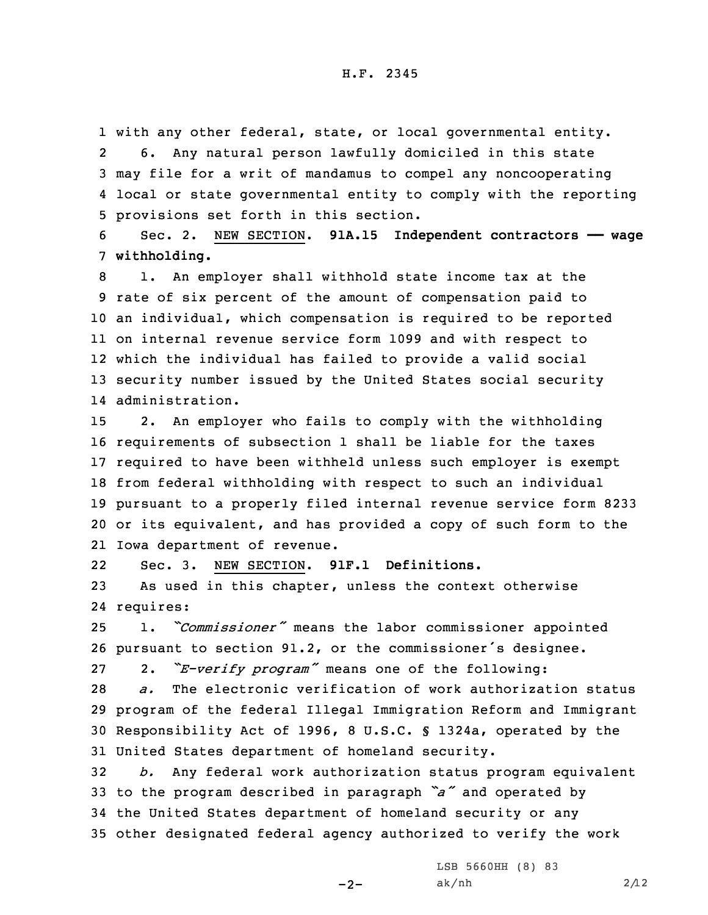with any other federal, state, or local governmental entity. 2 6. Any natural person lawfully domiciled in this state may file for <sup>a</sup> writ of mandamus to compel any noncooperating local or state governmental entity to comply with the reporting provisions set forth in this section.

6 Sec. 2. NEW SECTION. **91A.15 Independent contractors —— wage** 7 **withholding.**

 1. An employer shall withhold state income tax at the rate of six percent of the amount of compensation paid to an individual, which compensation is required to be reported on internal revenue service form 1099 and with respect to which the individual has failed to provide <sup>a</sup> valid social security number issued by the United States social security administration.

 2. An employer who fails to comply with the withholding requirements of subsection 1 shall be liable for the taxes required to have been withheld unless such employer is exempt from federal withholding with respect to such an individual pursuant to <sup>a</sup> properly filed internal revenue service form 8233 or its equivalent, and has provided <sup>a</sup> copy of such form to the Iowa department of revenue.

22Sec. 3. NEW SECTION. **91F.1 Definitions.**

23 As used in this chapter, unless the context otherwise 24 requires:

<sup>25</sup> 1. *"Commissioner"* means the labor commissioner appointed <sup>26</sup> pursuant to section 91.2, or the commissioner's designee.

27 2. *"E-verify program"* means one of the following:

 *a.* The electronic verification of work authorization status program of the federal Illegal Immigration Reform and Immigrant Responsibility Act of 1996, 8 U.S.C. § 1324a, operated by the United States department of homeland security.

 *b.* Any federal work authorization status program equivalent to the program described in paragraph *"a"* and operated by the United States department of homeland security or any other designated federal agency authorized to verify the work

 $-2-$ 

LSB 5660HH (8) 83 ak/nh  $2/12$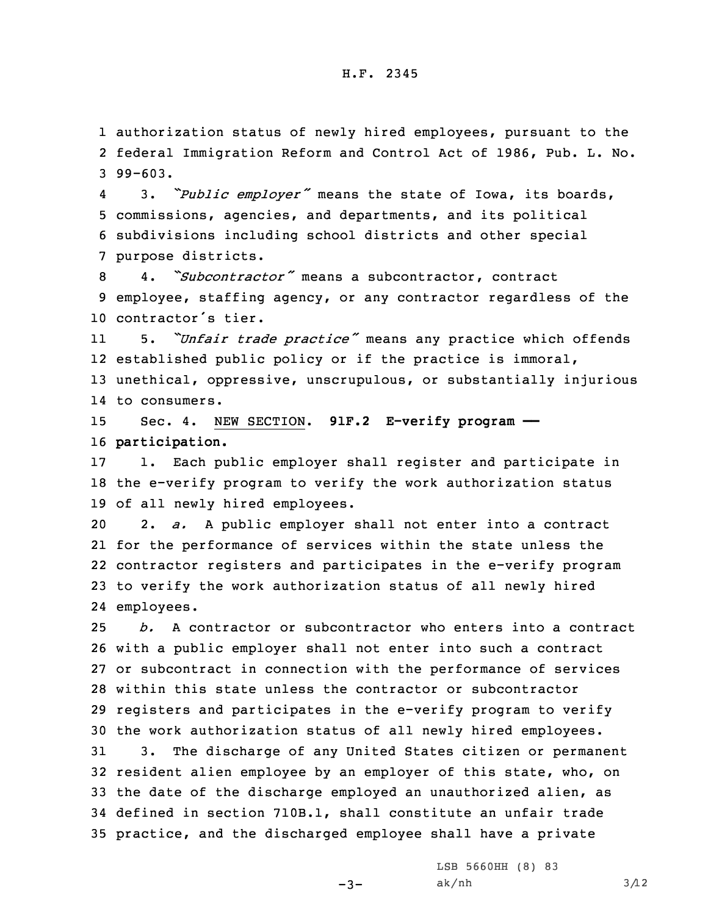## H.F. 2345

1 authorization status of newly hired employees, pursuant to the 2 federal Immigration Reform and Control Act of 1986, Pub. L. No. 3 99-603.

4 3. *"Public employer"* means the state of Iowa, its boards, 5 commissions, agencies, and departments, and its political 6 subdivisions including school districts and other special 7 purpose districts.

8 4. *"Subcontractor"* means <sup>a</sup> subcontractor, contract 9 employee, staffing agency, or any contractor regardless of the 10 contractor's tier.

11 5. *"Unfair trade practice"* means any practice which offends 12 established public policy or if the practice is immoral, 13 unethical, oppressive, unscrupulous, or substantially injurious 14 to consumers.

15 Sec. 4. NEW SECTION. **91F.2 E-verify program ——** 16 **participation.**

17 1. Each public employer shall register and participate in 18 the e-verify program to verify the work authorization status 19 of all newly hired employees.

 2. *a.* <sup>A</sup> public employer shall not enter into <sup>a</sup> contract for the performance of services within the state unless the contractor registers and participates in the e-verify program to verify the work authorization status of all newly hired employees.

 *b.* A contractor or subcontractor who enters into <sup>a</sup> contract with <sup>a</sup> public employer shall not enter into such <sup>a</sup> contract or subcontract in connection with the performance of services within this state unless the contractor or subcontractor registers and participates in the e-verify program to verify the work authorization status of all newly hired employees.

 3. The discharge of any United States citizen or permanent resident alien employee by an employer of this state, who, on the date of the discharge employed an unauthorized alien, as defined in section 710B.1, shall constitute an unfair trade practice, and the discharged employee shall have <sup>a</sup> private

 $-3-$ 

LSB 5660HH (8) 83 ak/nh  $3/12$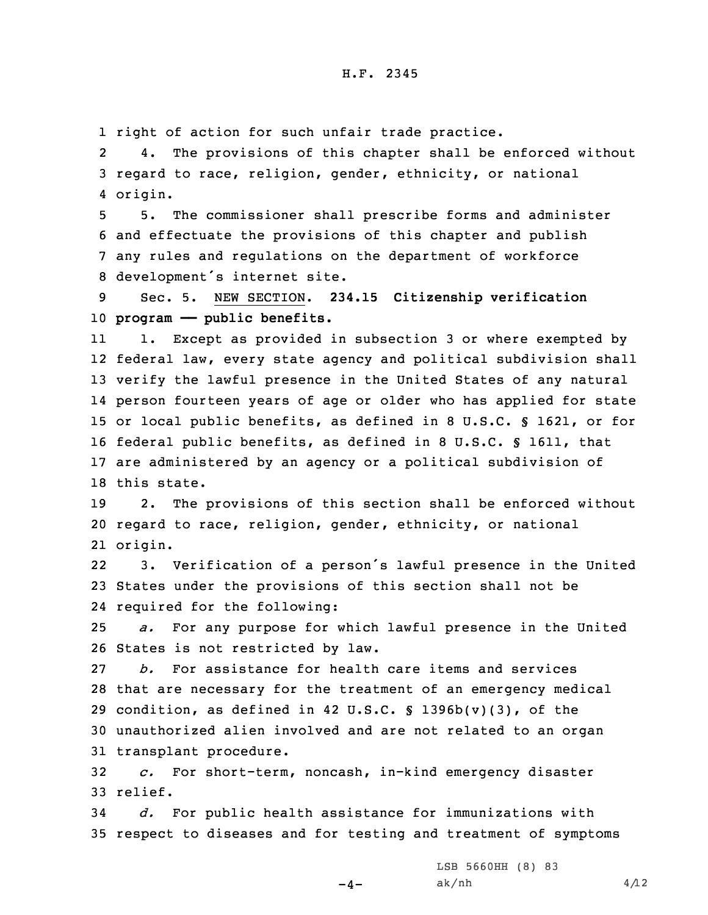1 right of action for such unfair trade practice.

2 4. The provisions of this chapter shall be enforced without 3 regard to race, religion, gender, ethnicity, or national 4 origin.

 5. The commissioner shall prescribe forms and administer and effectuate the provisions of this chapter and publish any rules and regulations on the department of workforce development's internet site.

9 Sec. 5. NEW SECTION. **234.15 Citizenship verification** 10 **program —— public benefits.**

11 1. Except as provided in subsection 3 or where exempted by federal law, every state agency and political subdivision shall verify the lawful presence in the United States of any natural person fourteen years of age or older who has applied for state or local public benefits, as defined in 8 U.S.C. § 1621, or for federal public benefits, as defined in 8 U.S.C. § 1611, that are administered by an agency or <sup>a</sup> political subdivision of this state.

19 2. The provisions of this section shall be enforced without 20 regard to race, religion, gender, ethnicity, or national 21 origin.

22 3. Verification of <sup>a</sup> person's lawful presence in the United 23 States under the provisions of this section shall not be 24 required for the following:

25 *a.* For any purpose for which lawful presence in the United 26 States is not restricted by law.

 *b.* For assistance for health care items and services that are necessary for the treatment of an emergency medical 29 condition, as defined in 42 U.S.C.  $\ S$  1396b(v)(3), of the unauthorized alien involved and are not related to an organ transplant procedure.

32 *c.* For short-term, noncash, in-kind emergency disaster 33 relief.

34 *d.* For public health assistance for immunizations with 35 respect to diseases and for testing and treatment of symptoms

 $-4-$ 

LSB 5660HH (8) 83 ak/nh  $4/12$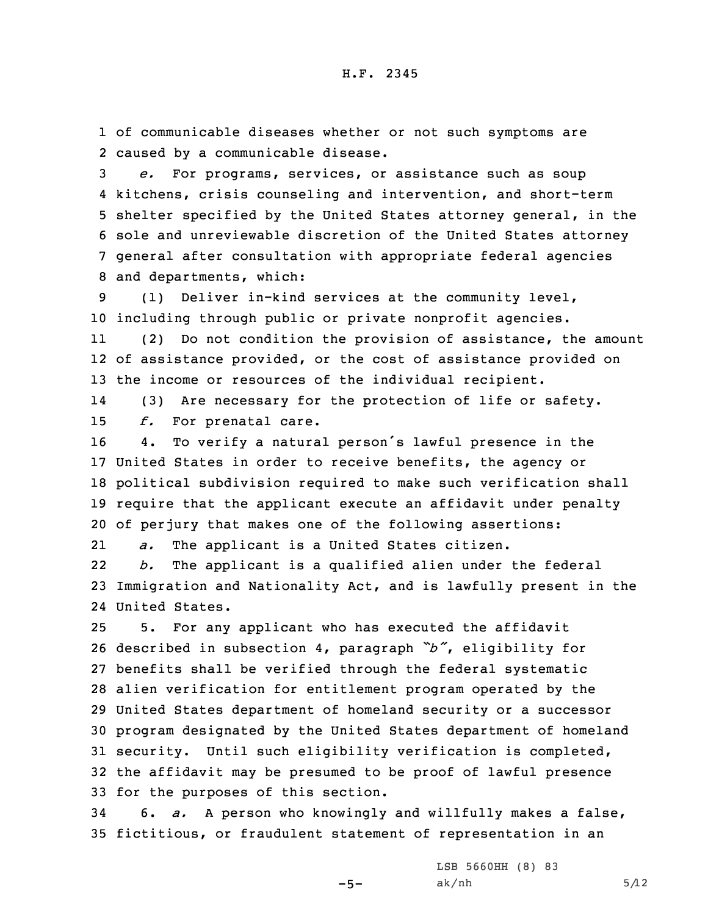1 of communicable diseases whether or not such symptoms are 2 caused by <sup>a</sup> communicable disease.

 *e.* For programs, services, or assistance such as soup kitchens, crisis counseling and intervention, and short-term shelter specified by the United States attorney general, in the sole and unreviewable discretion of the United States attorney general after consultation with appropriate federal agencies and departments, which:

9 (1) Deliver in-kind services at the community level, 10 including through public or private nonprofit agencies.

11 (2) Do not condition the provision of assistance, the amount 12 of assistance provided, or the cost of assistance provided on 13 the income or resources of the individual recipient.

14 (3) Are necessary for the protection of life or safety. 15 *f.* For prenatal care.

 4. To verify <sup>a</sup> natural person's lawful presence in the United States in order to receive benefits, the agency or political subdivision required to make such verification shall require that the applicant execute an affidavit under penalty of perjury that makes one of the following assertions:

21*a.* The applicant is <sup>a</sup> United States citizen.

22 *b.* The applicant is <sup>a</sup> qualified alien under the federal 23 Immigration and Nationality Act, and is lawfully present in the 24 United States.

 5. For any applicant who has executed the affidavit described in subsection 4, paragraph *"b"*, eligibility for benefits shall be verified through the federal systematic alien verification for entitlement program operated by the United States department of homeland security or <sup>a</sup> successor program designated by the United States department of homeland security. Until such eligibility verification is completed, the affidavit may be presumed to be proof of lawful presence for the purposes of this section.

34 6. *a.* <sup>A</sup> person who knowingly and willfully makes <sup>a</sup> false, 35 fictitious, or fraudulent statement of representation in an

 $-5-$ 

LSB 5660HH (8) 83  $ak/nh$  5/12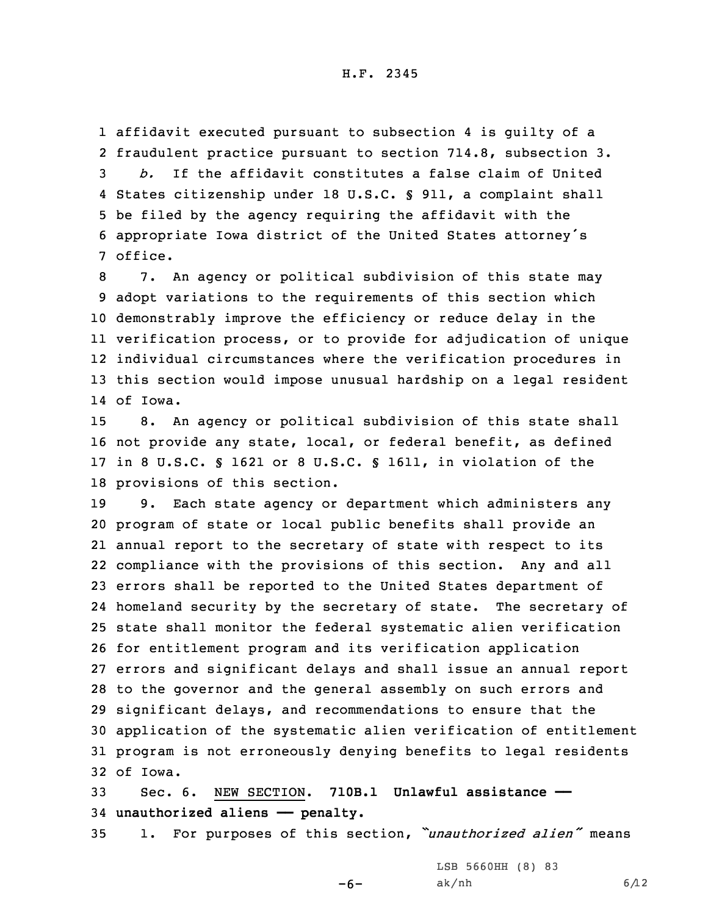affidavit executed pursuant to subsection 4 is guilty of <sup>a</sup> fraudulent practice pursuant to section 714.8, subsection 3. *b.* If the affidavit constitutes <sup>a</sup> false claim of United States citizenship under 18 U.S.C. § 911, <sup>a</sup> complaint shall be filed by the agency requiring the affidavit with the appropriate Iowa district of the United States attorney's 7 office.

 7. An agency or political subdivision of this state may adopt variations to the requirements of this section which demonstrably improve the efficiency or reduce delay in the verification process, or to provide for adjudication of unique individual circumstances where the verification procedures in this section would impose unusual hardship on <sup>a</sup> legal resident 14 of Iowa.

 8. An agency or political subdivision of this state shall not provide any state, local, or federal benefit, as defined in 8 U.S.C. § 1621 or 8 U.S.C. § 1611, in violation of the provisions of this section.

 9. Each state agency or department which administers any program of state or local public benefits shall provide an annual report to the secretary of state with respect to its compliance with the provisions of this section. Any and all errors shall be reported to the United States department of homeland security by the secretary of state. The secretary of state shall monitor the federal systematic alien verification for entitlement program and its verification application errors and significant delays and shall issue an annual report to the governor and the general assembly on such errors and significant delays, and recommendations to ensure that the application of the systematic alien verification of entitlement program is not erroneously denying benefits to legal residents 32 of Iowa.

33 Sec. 6. NEW SECTION. **710B.1 Unlawful assistance ——** 34 **unauthorized aliens —— penalty.**

<sup>35</sup> 1. For purposes of this section, *"unauthorized alien"* means

-6-

LSB 5660HH (8) 83 ak/nh 6/12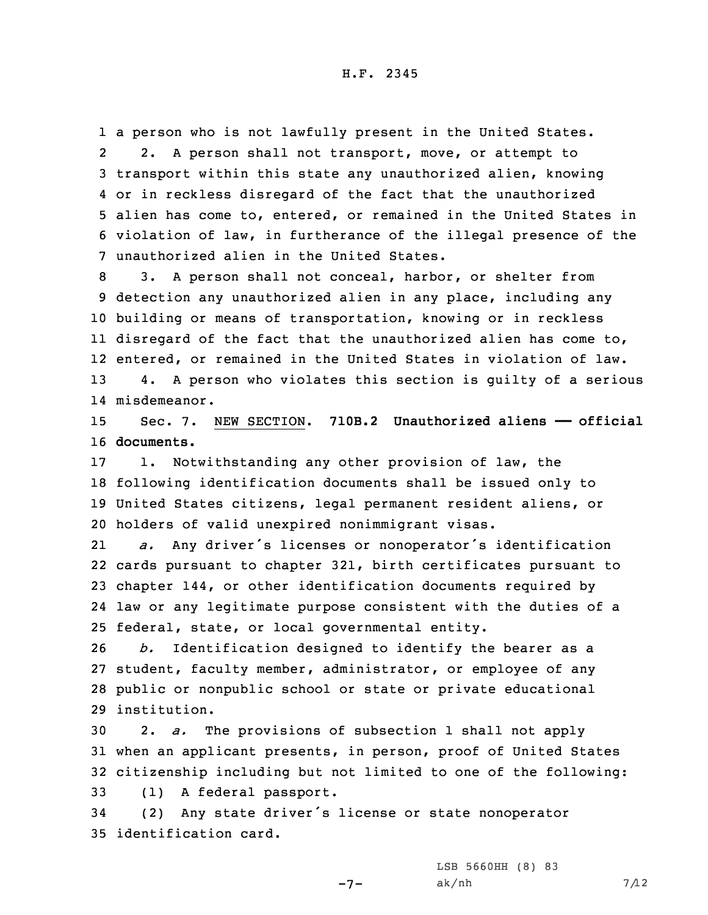<sup>a</sup> person who is not lawfully present in the United States. 2 2. A person shall not transport, move, or attempt to transport within this state any unauthorized alien, knowing or in reckless disregard of the fact that the unauthorized alien has come to, entered, or remained in the United States in violation of law, in furtherance of the illegal presence of the unauthorized alien in the United States.

 3. <sup>A</sup> person shall not conceal, harbor, or shelter from detection any unauthorized alien in any place, including any building or means of transportation, knowing or in reckless disregard of the fact that the unauthorized alien has come to, entered, or remained in the United States in violation of law. 4. <sup>A</sup> person who violates this section is guilty of <sup>a</sup> serious misdemeanor.

15 Sec. 7. NEW SECTION. **710B.2 Unauthorized aliens —— official** 16 **documents.**

 1. Notwithstanding any other provision of law, the following identification documents shall be issued only to United States citizens, legal permanent resident aliens, or holders of valid unexpired nonimmigrant visas.

21 *a.* Any driver's licenses or nonoperator's identification cards pursuant to chapter 321, birth certificates pursuant to chapter 144, or other identification documents required by law or any legitimate purpose consistent with the duties of <sup>a</sup> federal, state, or local governmental entity.

 *b.* Identification designed to identify the bearer as <sup>a</sup> student, faculty member, administrator, or employee of any public or nonpublic school or state or private educational institution.

30 2. *a.* The provisions of subsection 1 shall not apply 31 when an applicant presents, in person, proof of United States 32 citizenship including but not limited to one of the following:

33 (1) <sup>A</sup> federal passport.

<sup>34</sup> (2) Any state driver's license or state nonoperator 35 identification card.

-7-

LSB 5660HH (8) 83 ak/nh  $7/12$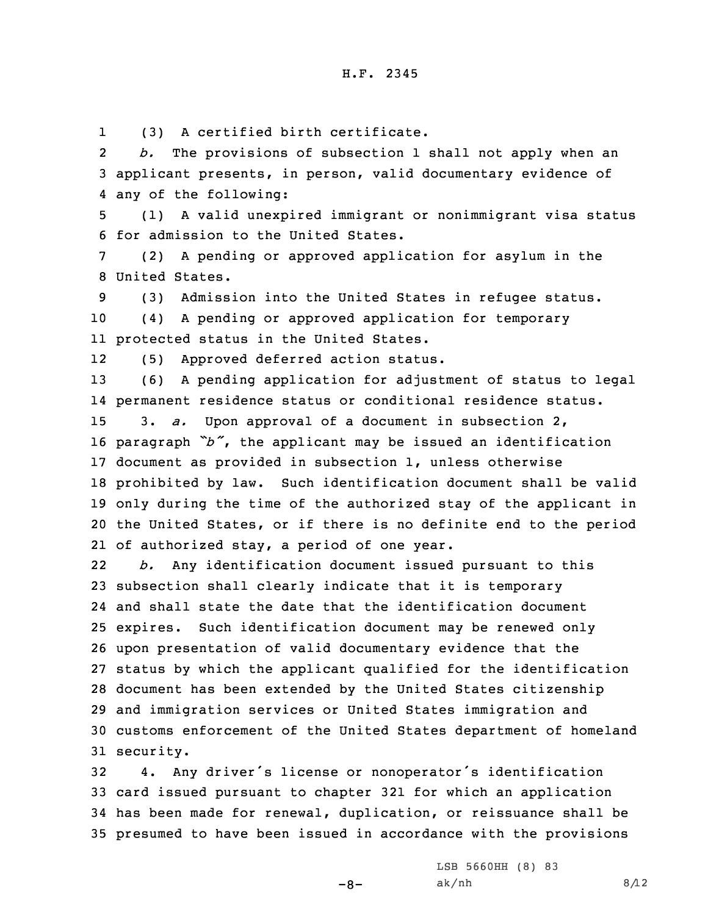1(3) <sup>A</sup> certified birth certificate.

2 *b.* The provisions of subsection 1 shall not apply when an 3 applicant presents, in person, valid documentary evidence of 4 any of the following:

5 (1) <sup>A</sup> valid unexpired immigrant or nonimmigrant visa status 6 for admission to the United States.

7 (2) <sup>A</sup> pending or approved application for asylum in the 8 United States.

9 (3) Admission into the United States in refugee status. 10 (4) <sup>A</sup> pending or approved application for temporary 11 protected status in the United States.

12(5) Approved deferred action status.

 (6) <sup>A</sup> pending application for adjustment of status to legal permanent residence status or conditional residence status. 3. *a.* Upon approval of <sup>a</sup> document in subsection 2, paragraph *"b"*, the applicant may be issued an identification document as provided in subsection 1, unless otherwise prohibited by law. Such identification document shall be valid only during the time of the authorized stay of the applicant in the United States, or if there is no definite end to the period of authorized stay, <sup>a</sup> period of one year.

22 *b.* Any identification document issued pursuant to this subsection shall clearly indicate that it is temporary and shall state the date that the identification document expires. Such identification document may be renewed only upon presentation of valid documentary evidence that the status by which the applicant qualified for the identification document has been extended by the United States citizenship and immigration services or United States immigration and customs enforcement of the United States department of homeland security.

 4. Any driver's license or nonoperator's identification card issued pursuant to chapter 321 for which an application has been made for renewal, duplication, or reissuance shall be presumed to have been issued in accordance with the provisions

 $-8-$ 

LSB 5660HH (8) 83 ak/nh  $8/12$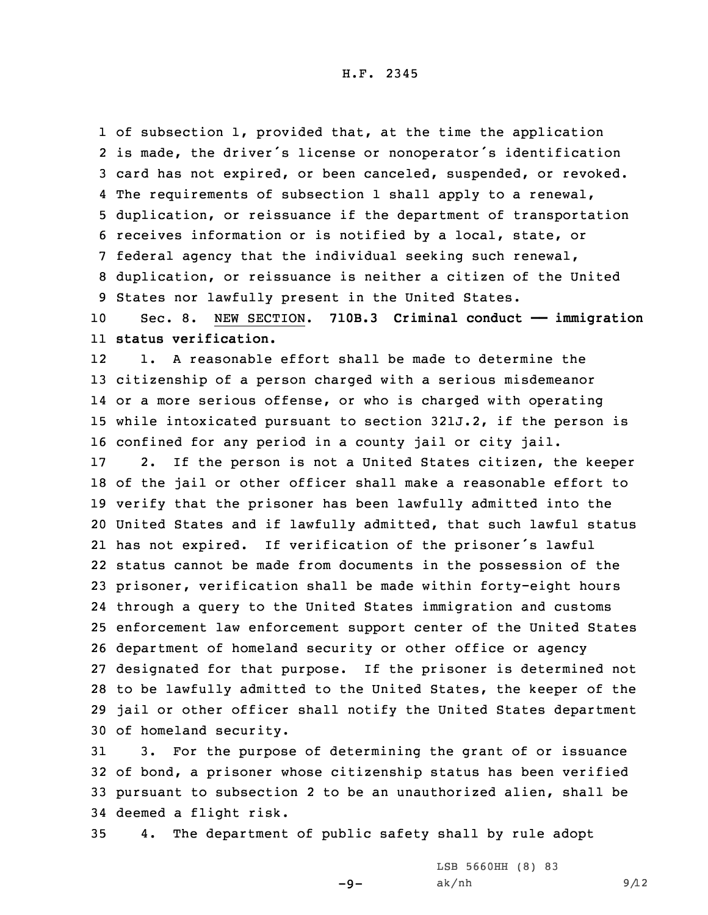H.F. 2345

 of subsection 1, provided that, at the time the application is made, the driver's license or nonoperator's identification card has not expired, or been canceled, suspended, or revoked. The requirements of subsection 1 shall apply to <sup>a</sup> renewal, duplication, or reissuance if the department of transportation receives information or is notified by <sup>a</sup> local, state, or federal agency that the individual seeking such renewal, duplication, or reissuance is neither <sup>a</sup> citizen of the United States nor lawfully present in the United States. Sec. 8. NEW SECTION. **710B.3 Criminal conduct —— immigration status verification.** 12 1. A reasonable effort shall be made to determine the citizenship of <sup>a</sup> person charged with <sup>a</sup> serious misdemeanor or <sup>a</sup> more serious offense, or who is charged with operating while intoxicated pursuant to section 321J.2, if the person is confined for any period in <sup>a</sup> county jail or city jail. 2. If the person is not <sup>a</sup> United States citizen, the keeper of the jail or other officer shall make <sup>a</sup> reasonable effort to verify that the prisoner has been lawfully admitted into the United States and if lawfully admitted, that such lawful status has not expired. If verification of the prisoner's lawful status cannot be made from documents in the possession of the prisoner, verification shall be made within forty-eight hours through <sup>a</sup> query to the United States immigration and customs enforcement law enforcement support center of the United States department of homeland security or other office or agency designated for that purpose. If the prisoner is determined not to be lawfully admitted to the United States, the keeper of the jail or other officer shall notify the United States department of homeland security.

 3. For the purpose of determining the grant of or issuance of bond, <sup>a</sup> prisoner whose citizenship status has been verified pursuant to subsection 2 to be an unauthorized alien, shall be deemed <sup>a</sup> flight risk.

35 4. The department of public safety shall by rule adopt

-9-

LSB 5660HH (8) 83 ak/nh 9/12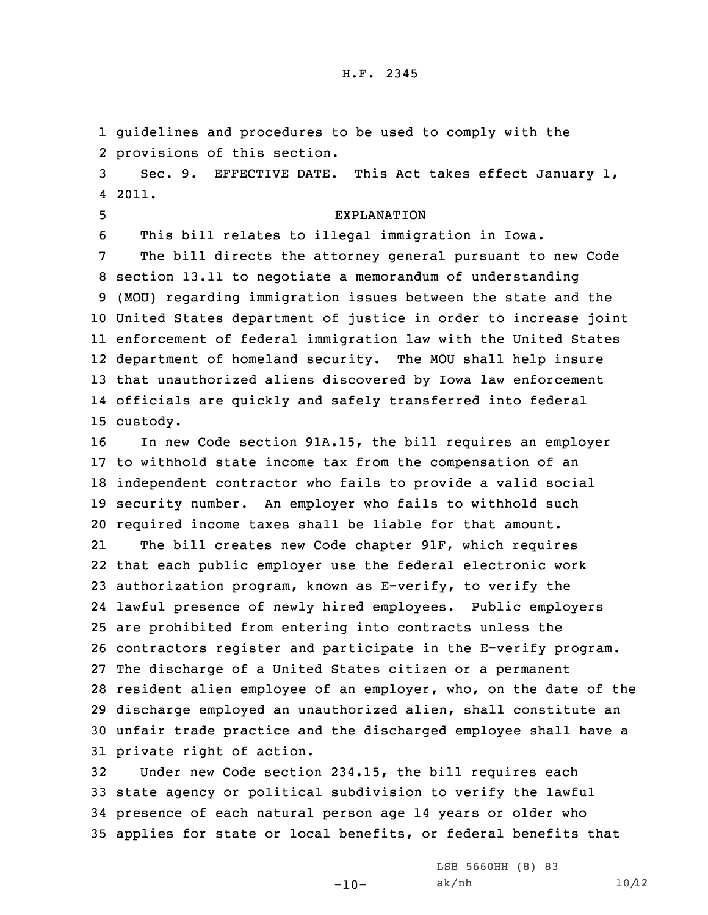1 guidelines and procedures to be used to comply with the 2 provisions of this section.

3 Sec. 9. EFFECTIVE DATE. This Act takes effect January 1, 4 2011.

5 EXPLANATION

6 This bill relates to illegal immigration in Iowa.

 The bill directs the attorney general pursuant to new Code section 13.11 to negotiate <sup>a</sup> memorandum of understanding (MOU) regarding immigration issues between the state and the United States department of justice in order to increase joint enforcement of federal immigration law with the United States department of homeland security. The MOU shall help insure that unauthorized aliens discovered by Iowa law enforcement officials are quickly and safely transferred into federal 15 custody.

 In new Code section 91A.15, the bill requires an employer to withhold state income tax from the compensation of an independent contractor who fails to provide <sup>a</sup> valid social security number. An employer who fails to withhold such required income taxes shall be liable for that amount.

21 The bill creates new Code chapter 91F, which requires that each public employer use the federal electronic work authorization program, known as E-verify, to verify the lawful presence of newly hired employees. Public employers are prohibited from entering into contracts unless the contractors register and participate in the E-verify program. The discharge of <sup>a</sup> United States citizen or <sup>a</sup> permanent resident alien employee of an employer, who, on the date of the discharge employed an unauthorized alien, shall constitute an unfair trade practice and the discharged employee shall have <sup>a</sup> private right of action.

 Under new Code section 234.15, the bill requires each state agency or political subdivision to verify the lawful presence of each natural person age 14 years or older who applies for state or local benefits, or federal benefits that

-10-

LSB 5660HH (8) 83 ak/nh  $10/12$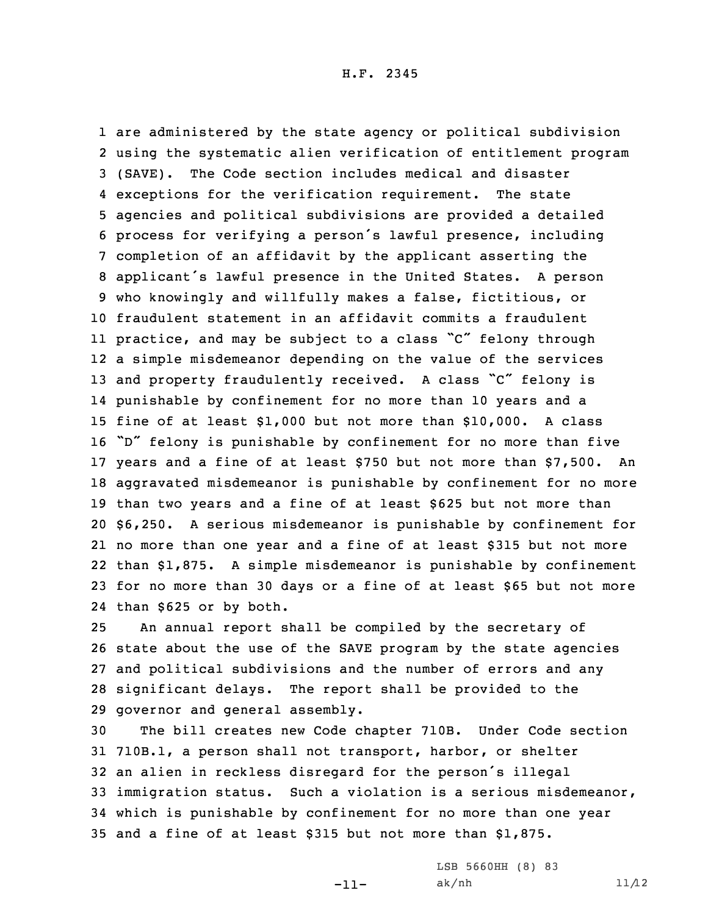are administered by the state agency or political subdivision using the systematic alien verification of entitlement program (SAVE). The Code section includes medical and disaster exceptions for the verification requirement. The state agencies and political subdivisions are provided <sup>a</sup> detailed process for verifying <sup>a</sup> person's lawful presence, including completion of an affidavit by the applicant asserting the applicant's lawful presence in the United States. <sup>A</sup> person who knowingly and willfully makes <sup>a</sup> false, fictitious, or fraudulent statement in an affidavit commits <sup>a</sup> fraudulent practice, and may be subject to <sup>a</sup> class "C" felony through <sup>a</sup> simple misdemeanor depending on the value of the services 13 and property fraudulently received. A class "C" felony is punishable by confinement for no more than 10 years and <sup>a</sup> fine of at least \$1,000 but not more than \$10,000. A class "D" felony is punishable by confinement for no more than five years and <sup>a</sup> fine of at least \$750 but not more than \$7,500. An aggravated misdemeanor is punishable by confinement for no more than two years and <sup>a</sup> fine of at least \$625 but not more than \$6,250. <sup>A</sup> serious misdemeanor is punishable by confinement for no more than one year and <sup>a</sup> fine of at least \$315 but not more than \$1,875. <sup>A</sup> simple misdemeanor is punishable by confinement for no more than 30 days or <sup>a</sup> fine of at least \$65 but not more than \$625 or by both.

 An annual report shall be compiled by the secretary of state about the use of the SAVE program by the state agencies and political subdivisions and the number of errors and any significant delays. The report shall be provided to the governor and general assembly.

 The bill creates new Code chapter 710B. Under Code section 710B.1, <sup>a</sup> person shall not transport, harbor, or shelter an alien in reckless disregard for the person's illegal immigration status. Such <sup>a</sup> violation is <sup>a</sup> serious misdemeanor, which is punishable by confinement for no more than one year and <sup>a</sup> fine of at least \$315 but not more than \$1,875.

-11-

LSB 5660HH (8) 83 ak/nh  $11/12$